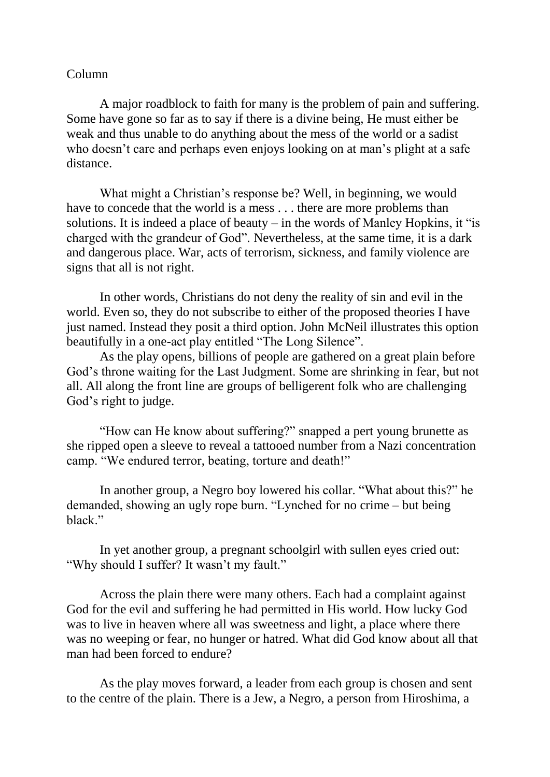## Column

A major roadblock to faith for many is the problem of pain and suffering. Some have gone so far as to say if there is a divine being, He must either be weak and thus unable to do anything about the mess of the world or a sadist who doesn't care and perhaps even enjoys looking on at man's plight at a safe distance.

What might a Christian's response be? Well, in beginning, we would have to concede that the world is a mess . . . there are more problems than solutions. It is indeed a place of beauty – in the words of Manley Hopkins, it "is charged with the grandeur of God". Nevertheless, at the same time, it is a dark and dangerous place. War, acts of terrorism, sickness, and family violence are signs that all is not right.

In other words, Christians do not deny the reality of sin and evil in the world. Even so, they do not subscribe to either of the proposed theories I have just named. Instead they posit a third option. John McNeil illustrates this option beautifully in a one-act play entitled "The Long Silence".

As the play opens, billions of people are gathered on a great plain before God's throne waiting for the Last Judgment. Some are shrinking in fear, but not all. All along the front line are groups of belligerent folk who are challenging God's right to judge.

"How can He know about suffering?" snapped a pert young brunette as she ripped open a sleeve to reveal a tattooed number from a Nazi concentration camp. "We endured terror, beating, torture and death!"

In another group, a Negro boy lowered his collar. "What about this?" he demanded, showing an ugly rope burn. "Lynched for no crime – but being black."

In yet another group, a pregnant schoolgirl with sullen eyes cried out: "Why should I suffer? It wasn't my fault."

Across the plain there were many others. Each had a complaint against God for the evil and suffering he had permitted in His world. How lucky God was to live in heaven where all was sweetness and light, a place where there was no weeping or fear, no hunger or hatred. What did God know about all that man had been forced to endure?

As the play moves forward, a leader from each group is chosen and sent to the centre of the plain. There is a Jew, a Negro, a person from Hiroshima, a